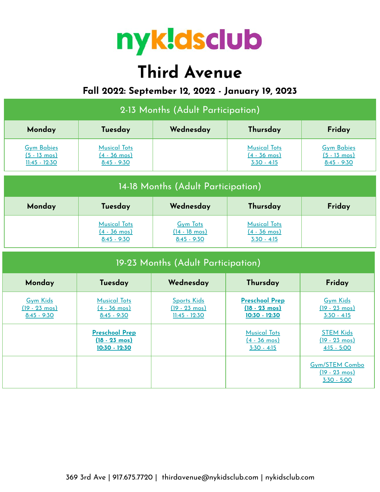

# **Third Avenue**

## **Fall 2022: September 12, 2022 - January 19, 2023**

| 2-13 Months (Adult Participation)                              |                                                                     |                                                                  |                                                                     |                                                                   |  |  |  |
|----------------------------------------------------------------|---------------------------------------------------------------------|------------------------------------------------------------------|---------------------------------------------------------------------|-------------------------------------------------------------------|--|--|--|
| Monday                                                         | Tuesday                                                             | Wednesday                                                        | Thursday                                                            | Friday                                                            |  |  |  |
| <b>Gym Babies</b><br>$(5 - 13 \text{ mos})$<br>$11:45 - 12:30$ | <b>Musical Tots</b><br>$(4 - 36 \text{ mos})$<br>$8:45 - 9:30$      |                                                                  | <b>Musical Tots</b><br>$(4 - 36 \text{ mos})$<br>$3:30 - 4:15$      | <b>Gym Babies</b><br>$(5 - 13 \text{ mos})$<br>$8:45 - 9:30$      |  |  |  |
| 14-18 Months (Adult Participation)                             |                                                                     |                                                                  |                                                                     |                                                                   |  |  |  |
| Monday                                                         | Tuesday                                                             | Wednesday                                                        | Thursday                                                            | Friday                                                            |  |  |  |
|                                                                | <b>Musical Tots</b><br>$(4 - 36 \text{ mos})$<br>$8:45 - 9:30$      | <b>Gym Tots</b><br>$(14 - 18 \text{ mos})$<br>$8:45 - 9:30$      | <b>Musical Tots</b><br>$(4 - 36 \text{ mos})$<br>$3:30 - 4:15$      |                                                                   |  |  |  |
| 19-23 Months (Adult Participation)                             |                                                                     |                                                                  |                                                                     |                                                                   |  |  |  |
| Monday                                                         | Tuesday                                                             | Wednesday                                                        | Thursday                                                            | Friday                                                            |  |  |  |
| <b>Gym Kids</b><br>$(19 - 23 \text{ mos})$<br>$8:45 - 9:30$    | <b>Musical Tots</b><br>$(4 - 36 \text{ mos})$<br>$8:45 - 9:30$      | <b>Sports Kids</b><br>$(19 - 23 \text{ mos})$<br>$11:45 - 12:30$ | <b>Preschool Prep</b><br>$(18 - 23 \text{ mos})$<br>$10:30 - 12:30$ | <b>Gym Kids</b><br>$(19 - 23 \text{ mos})$<br>$3:30 - 4:15$       |  |  |  |
|                                                                | <b>Preschool Prep</b><br>$(18 - 23 \text{ mos})$<br>$10:30 - 12:30$ |                                                                  | <b>Musical Tots</b><br>$(4 - 36 \text{ mos})$<br>$3:30 - 4:15$      | <b>STEM Kids</b><br>$(19 - 23 \text{ mos})$<br>$4:15 - 5:00$      |  |  |  |
|                                                                |                                                                     |                                                                  |                                                                     | <b>Gym/STEM Combo</b><br>$(19 - 23 \text{ mos})$<br>$3:30 - 5:00$ |  |  |  |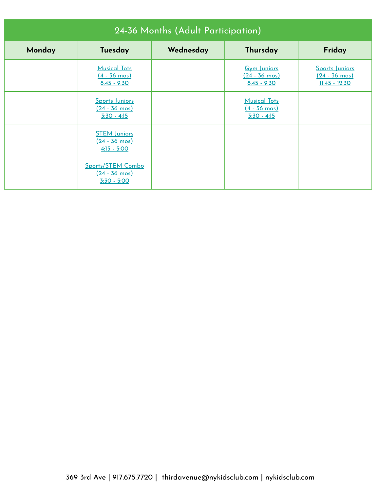| 24-36 Months (Adult Participation) |                                                                   |           |                                                                |                                                                     |  |  |
|------------------------------------|-------------------------------------------------------------------|-----------|----------------------------------------------------------------|---------------------------------------------------------------------|--|--|
| Monday                             | Tuesday                                                           | Wednesday | Thursday                                                       | Friday                                                              |  |  |
|                                    | <b>Musical Tots</b><br>$(4 - 36 \text{ mos})$<br>$8:45 - 9:30$    |           | <b>Gym Juniors</b><br>$(24 - 36 \text{ mos})$<br>$8:45 - 9:30$ | <b>Sports Juniors</b><br>$(24 - 36 \text{ mos})$<br>$11:45 - 12:30$ |  |  |
|                                    | <b>Sports Juniors</b><br>$(24 - 36 \text{ mos})$<br>$3:30 - 4:15$ |           | <b>Musical Tots</b><br>$(4 - 36 \text{ mos})$<br>$3:30 - 4:15$ |                                                                     |  |  |
|                                    | <b>STEM Juniors</b><br>$(24 - 36 \text{ mos})$<br>$4:15 - 5:00$   |           |                                                                |                                                                     |  |  |
|                                    | Sports/STEM Combo<br>$(24 - 36 \text{ mos})$<br>$3:30 - 5:00$     |           |                                                                |                                                                     |  |  |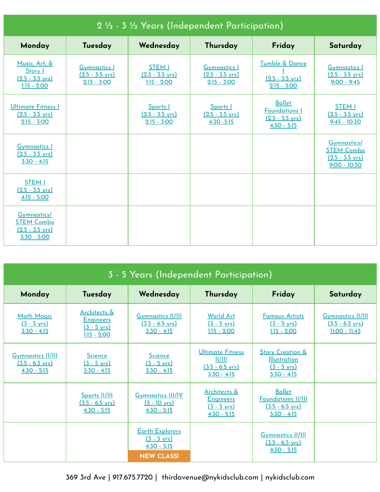| 2 1/2 - 3 1/2 Years (Independent Participation)                                |                                                                   |                                                             |                                                                   |                                                                                     |                                                                                 |
|--------------------------------------------------------------------------------|-------------------------------------------------------------------|-------------------------------------------------------------|-------------------------------------------------------------------|-------------------------------------------------------------------------------------|---------------------------------------------------------------------------------|
| Monday                                                                         | Tuesday                                                           | Wednesday                                                   | Thursday                                                          | Friday                                                                              | Saturday                                                                        |
| Music, Art, &<br>Story I<br>$(2.5 - 3.5 \text{ yrs})$<br>$1:15 - 2:00$         | <b>Gymnastics I</b><br>$(2.5 - 3.5 \text{ yrs})$<br>$2:15 - 3:00$ | <b>STEM I</b><br>$(2.5 - 3.5 \text{ yrs})$<br>$1:15 - 2:00$ | <b>Gymnastics I</b><br>$(2.5 - 3.5 \text{ yrs})$<br>$2:15 - 3:00$ | Tumble & Dance<br>$(2.5 - 3.5 \text{ yrs})$<br>$2:15 - 3:00$                        | <b>Gymnastics I</b><br>$(2.5 - 3.5 \text{ yrs})$<br>$9:00 - 9:45$               |
| <b>Ultimate Fitness I</b><br>$(2.5 - 3.5 \text{ yrs})$<br>$2:15 - 3:00$        |                                                                   | Sports I<br>$(2.5 - 3.5 \text{ yrs})$<br>$2:15 - 3:00$      | Sports I<br>$(2.5 - 3.5 \text{ yrs})$<br>$4:30 - 5:15$            | <b>Ballet</b><br><b>Foundations I</b><br>$(2.5 - 3.5 \text{ yrs})$<br>$4:30 - 5:15$ | <b>STEM I</b><br>$(2.5 - 3.5 \text{ yrs})$<br>$9:45 - 10:30$                    |
| <b>Gymnastics 1</b><br>$(2.5 - 3.5 \text{ vrs})$<br>$3:30 - 4:15$              |                                                                   |                                                             |                                                                   |                                                                                     | Gymnastics/<br><b>STEM Combo</b><br>$(2.5 - 3.5 \text{ yrs})$<br>$9:00 - 10:30$ |
| <b>STEM I</b><br>$(2.5 - 3.5 \text{ vrs})$<br>$4:15 - 5:00$                    |                                                                   |                                                             |                                                                   |                                                                                     |                                                                                 |
| Gymnastics/<br><b>STEM Combo</b><br>$(2.5 - 3.5 \text{ yrs})$<br>$3:30 - 5:00$ |                                                                   |                                                             |                                                                   |                                                                                     |                                                                                 |

| 3 - 5 Years (Independent Participation)                                |                                                                            |                                                                                       |                                                                                       |                                                                                              |                                                                          |
|------------------------------------------------------------------------|----------------------------------------------------------------------------|---------------------------------------------------------------------------------------|---------------------------------------------------------------------------------------|----------------------------------------------------------------------------------------------|--------------------------------------------------------------------------|
| Monday                                                                 | Tuesday                                                                    | Wednesday                                                                             | Thursday                                                                              | Friday                                                                                       | Saturday                                                                 |
| <b>Math Magic</b><br>$(3 - 5 \text{ yrs})$<br>$3:30 - 4:15$            | Architects &<br><b>Engineers</b><br>$(3 - 5 \text{ yrs})$<br>$1:15 - 2:00$ | <b>Gymnastics II/III</b><br>$(3.5 - 6.5 \text{ yrs})$<br>$3:30 - 4:15$                | <b>World Art</b><br>$(3 - 5 \text{ yrs})$<br>$1:15 - 2:00$                            | <b>Famous Artists</b><br>$(3 - 5 \text{ yrs})$<br>$1:15 - 2:00$                              | <b>Gymnastics II/III</b><br>$(3.5 - 6.5 \text{ yrs})$<br>$11:00 - 11:45$ |
| <b>Gymnastics II/III</b><br>$(3.5 - 6.5 \text{ yrs})$<br>$4:30 - 5:15$ | <b>Science</b><br>$(3 - 5 \text{ yrs})$<br>$3:30 - 4:15$                   | Science<br>$(3 - 5 \text{ yrs})$<br>$3:30 - 4:15$                                     | Ultimate Fitness<br>  /   <br>$(3.5 - 6.5 \text{ yrs})$<br>$3:30 - 4:15$              | <b>Story Creation &amp;</b><br><b>Illustration</b><br>$(3 - 5 \text{ yrs})$<br>$3:30 - 4:15$ |                                                                          |
|                                                                        | Sports II/III<br>$(3.5 - 6.5 \text{ vrs})$<br>$4:30 - 5:15$                | <b>Gymnastics III/IV</b><br>$(5 - 10 \text{ yrs})$<br>$4:30 - 5:15$                   | <u>Architects &amp;</u><br><b>Engineers</b><br>$(3 - 5 \text{ vrs})$<br>$4:30 - 5:15$ | <b>Ballet</b><br><b>Foundations II/III</b><br>$(3.5 - 6.5 \text{ vrs})$<br>$3:30 - 4:15$     |                                                                          |
|                                                                        |                                                                            | <b>Earth Explorers</b><br>$(3 - 5 \text{ yrs})$<br>$4:30 - 5:15$<br><b>NEW CLASS!</b> |                                                                                       | <b>Gymnastics II/III</b><br>$(3.5 - 6.5 \text{ vrs})$<br>$4:30 - 5:15$                       |                                                                          |

369 3rd Ave | 917.675.7720 | thirdavenue@nykidsclub.com | nykidsclub.com